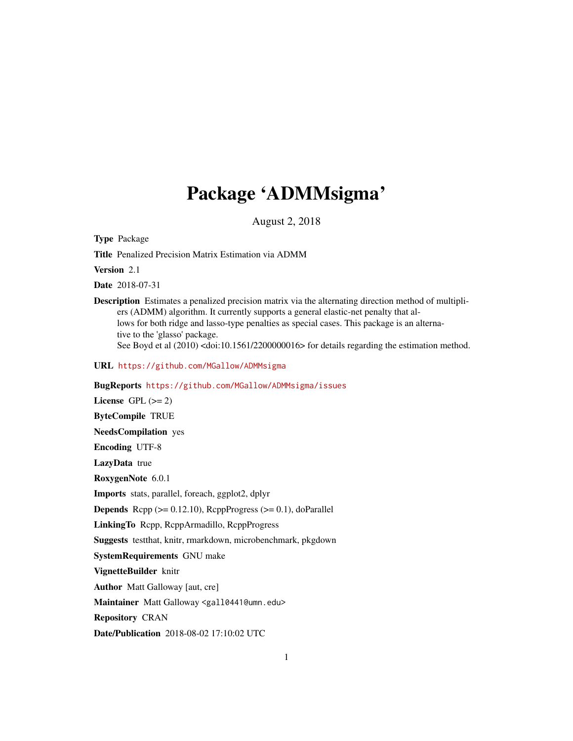## Package 'ADMMsigma'

August 2, 2018

Type Package

Title Penalized Precision Matrix Estimation via ADMM

Version 2.1

Date 2018-07-31

Description Estimates a penalized precision matrix via the alternating direction method of multipliers (ADMM) algorithm. It currently supports a general elastic-net penalty that allows for both ridge and lasso-type penalties as special cases. This package is an alternative to the 'glasso' package.

See Boyd et al  $(2010)$  <doi:10.1561/2200000016> for details regarding the estimation method.

URL <https://github.com/MGallow/ADMMsigma>

BugReports <https://github.com/MGallow/ADMMsigma/issues>

License GPL  $(>= 2)$ ByteCompile TRUE NeedsCompilation yes Encoding UTF-8 LazyData true RoxygenNote 6.0.1 Imports stats, parallel, foreach, ggplot2, dplyr **Depends** Rcpp  $(>= 0.12.10)$ , RcppProgress  $(>= 0.1)$ , doParallel LinkingTo Rcpp, RcppArmadillo, RcppProgress Suggests testthat, knitr, rmarkdown, microbenchmark, pkgdown SystemRequirements GNU make VignetteBuilder knitr Author Matt Galloway [aut, cre] Maintainer Matt Galloway <gall0441@umn.edu> Repository CRAN Date/Publication 2018-08-02 17:10:02 UTC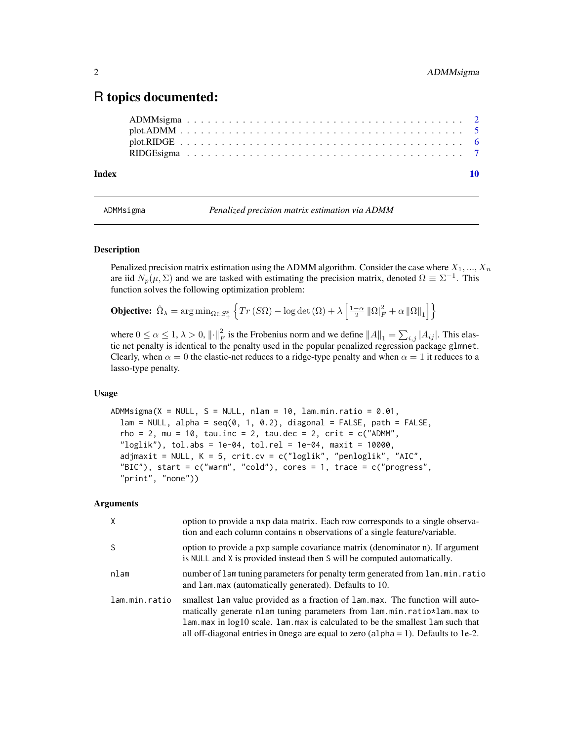### <span id="page-1-0"></span>R topics documented:

ADMMsigma . . . . . . . . . . . . . . . . . . . . . . . . . . . . . . . . . . . . . . . . [2](#page-1-0) plot.ADMM . . . . . . . . . . . . . . . . . . . . . . . . . . . . . . . . . . . . . . . . . [5](#page-4-0) plot.RIDGE . . . . . . . . . . . . . . . . . . . . . . . . . . . . . . . . . . . . . . . . . [6](#page-5-0) RIDGEsigma . . . . . . . . . . . . . . . . . . . . . . . . . . . . . . . . . . . . . . . . [7](#page-6-0)  $\blacksquare$ 

ADMMsigma *Penalized precision matrix estimation via ADMM*

#### Description

Penalized precision matrix estimation using the ADMM algorithm. Consider the case where  $X_1, ..., X_n$ are iid  $N_p(\mu, \Sigma)$  and we are tasked with estimating the precision matrix, denoted  $\Omega = \Sigma^{-1}$ . This function solves the following optimization problem:

**Objective:**  $\hat{\Omega}_{\lambda} = \arg \min_{\Omega \in S_+^p} \left\{ Tr \left( S \Omega \right) - \log \det \left( \Omega \right) + \lambda \left[ \frac{1-\alpha}{2} \left\| \Omega \right\|_F^2 + \alpha \left\| \Omega \right\|_1 \right] \right\}$ 

where  $0 \le \alpha \le 1$ ,  $\lambda > 0$ ,  $\left\| \cdot \right\|_F^2$  is the Frobenius norm and we define  $\|A\|_1 = \sum_{i,j} |A_{ij}|$ . This elastic net penalty is identical to the penalty used in the popular penalized regression package glmnet. Clearly, when  $\alpha = 0$  the elastic-net reduces to a ridge-type penalty and when  $\alpha = 1$  it reduces to a lasso-type penalty.

#### Usage

 $ADMMsigma(X = NULL, S = NULL, nlam = 10, lam.min.ratio = 0.01,$  $lam = NULL$ ,  $alpha = seq(0, 1, 0.2)$ , diagonal = FALSE, path = FALSE,  $rho = 2$ , mu = 10, tau.inc = 2, tau.dec = 2, crit = c("ADMM",  $"loglik")$ , tol.abs = 1e-04, tol.rel = 1e-04, maxit = 10000, adjmaxit = NULL,  $K = 5$ , crit.cv = c("loglik", "penloglik", "AIC", "BIC"), start =  $c("warm", "cold")$ , cores = 1, trace =  $c("progress",$ "print", "none"))

| X             | option to provide a nxp data matrix. Each row corresponds to a single observa-<br>tion and each column contains n observations of a single feature/variable.                                                                                                                                                                                  |
|---------------|-----------------------------------------------------------------------------------------------------------------------------------------------------------------------------------------------------------------------------------------------------------------------------------------------------------------------------------------------|
| S             | option to provide a pxp sample covariance matrix (denominator n). If argument<br>is NULL and X is provided instead then S will be computed automatically.                                                                                                                                                                                     |
| nlam          | number of lam tuning parameters for penalty term generated from lam.min.ratio<br>and lam. max (automatically generated). Defaults to 10.                                                                                                                                                                                                      |
| lam.min.ratio | smallest lam value provided as a fraction of lam.max. The function will auto-<br>matically generate nlam tuning parameters from $l$ am.min.ratio $\star$ lam.max to<br>lam. max in log10 scale. lam. max is calculated to be the smallest lam such that<br>all off-diagonal entries in Omega are equal to zero (alpha = 1). Defaults to 1e-2. |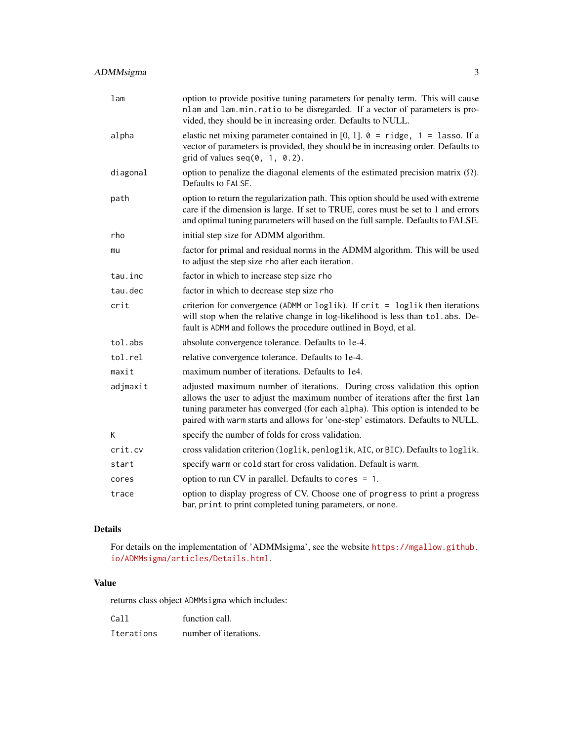| 1 <sub>am</sub> | option to provide positive tuning parameters for penalty term. This will cause<br>nlam and lam.min.ratio to be disregarded. If a vector of parameters is pro-<br>vided, they should be in increasing order. Defaults to NULL.                                                                                                     |
|-----------------|-----------------------------------------------------------------------------------------------------------------------------------------------------------------------------------------------------------------------------------------------------------------------------------------------------------------------------------|
| alpha           | elastic net mixing parameter contained in [0, 1]. $\theta$ = ridge, 1 = lasso. If a<br>vector of parameters is provided, they should be in increasing order. Defaults to<br>grid of values $seq(0, 1, 0.2)$ .                                                                                                                     |
| diagonal        | option to penalize the diagonal elements of the estimated precision matrix $(\Omega)$ .<br>Defaults to FALSE.                                                                                                                                                                                                                     |
| path            | option to return the regularization path. This option should be used with extreme<br>care if the dimension is large. If set to TRUE, cores must be set to 1 and errors<br>and optimal tuning parameters will based on the full sample. Defaults to FALSE.                                                                         |
| rho             | initial step size for ADMM algorithm.                                                                                                                                                                                                                                                                                             |
| mu              | factor for primal and residual norms in the ADMM algorithm. This will be used<br>to adjust the step size rho after each iteration.                                                                                                                                                                                                |
| tau.inc         | factor in which to increase step size rho                                                                                                                                                                                                                                                                                         |
| tau.dec         | factor in which to decrease step size rho                                                                                                                                                                                                                                                                                         |
| crit            | criterion for convergence (ADMM or loglik). If crit = loglik then iterations<br>will stop when the relative change in log-likelihood is less than tol. abs. De-<br>fault is ADMM and follows the procedure outlined in Boyd, et al.                                                                                               |
| tol.abs         | absolute convergence tolerance. Defaults to 1e-4.                                                                                                                                                                                                                                                                                 |
| tol.rel         | relative convergence tolerance. Defaults to 1e-4.                                                                                                                                                                                                                                                                                 |
| maxit           | maximum number of iterations. Defaults to 1e4.                                                                                                                                                                                                                                                                                    |
| adjmaxit        | adjusted maximum number of iterations. During cross validation this option<br>allows the user to adjust the maximum number of iterations after the first lam<br>tuning parameter has converged (for each alpha). This option is intended to be<br>paired with warm starts and allows for 'one-step' estimators. Defaults to NULL. |
| K               | specify the number of folds for cross validation.                                                                                                                                                                                                                                                                                 |
| crit.cv         | cross validation criterion (loglik, penloglik, AIC, or BIC). Defaults to loglik.                                                                                                                                                                                                                                                  |
| start           | specify warm or cold start for cross validation. Default is warm.                                                                                                                                                                                                                                                                 |
| cores           | option to run CV in parallel. Defaults to cores $= 1$ .                                                                                                                                                                                                                                                                           |
| trace           | option to display progress of CV. Choose one of progress to print a progress<br>bar, print to print completed tuning parameters, or none.                                                                                                                                                                                         |

#### Details

For details on the implementation of 'ADMMsigma', see the website [https://mgallow.github.](https://mgallow.github.io/ADMMsigma/articles/Details.html) [io/ADMMsigma/articles/Details.html](https://mgallow.github.io/ADMMsigma/articles/Details.html).

#### Value

returns class object ADMMsigma which includes:

| Call       | function call.        |
|------------|-----------------------|
| Iterations | number of iterations. |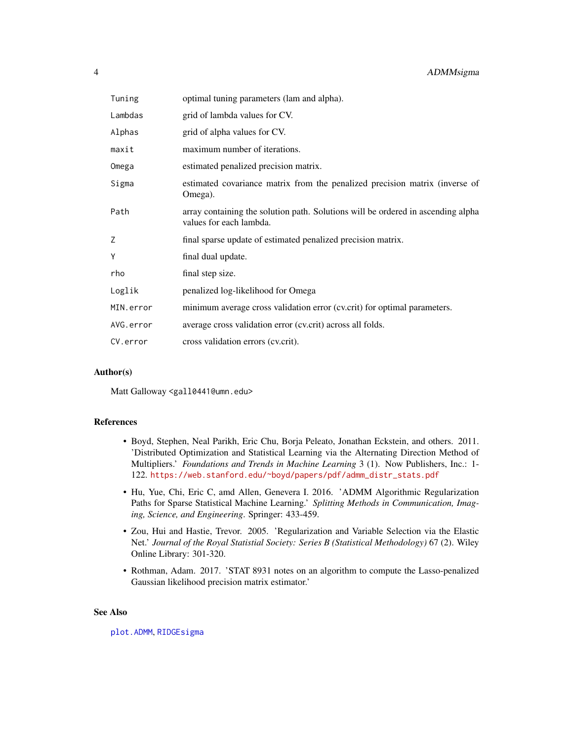<span id="page-3-0"></span>

| Tuning    | optimal tuning parameters (lam and alpha).                                                                  |
|-----------|-------------------------------------------------------------------------------------------------------------|
| Lambdas   | grid of lambda values for CV.                                                                               |
| Alphas    | grid of alpha values for CV.                                                                                |
| maxit     | maximum number of iterations.                                                                               |
| Omega     | estimated penalized precision matrix.                                                                       |
| Sigma     | estimated covariance matrix from the penalized precision matrix (inverse of<br>Omega).                      |
| Path      | array containing the solution path. Solutions will be ordered in ascending alpha<br>values for each lambda. |
| Ζ         | final sparse update of estimated penalized precision matrix.                                                |
| Y         | final dual update.                                                                                          |
| rho       | final step size.                                                                                            |
| Loglik    | penalized log-likelihood for Omega                                                                          |
| MIN.error | minimum average cross validation error (cv.crit) for optimal parameters.                                    |
| AVG.error | average cross validation error (cv.crit) across all folds.                                                  |
| CV.error  | cross validation errors (cv.crit).                                                                          |

#### Author(s)

Matt Galloway <gall0441@umn.edu>

#### References

- Boyd, Stephen, Neal Parikh, Eric Chu, Borja Peleato, Jonathan Eckstein, and others. 2011. 'Distributed Optimization and Statistical Learning via the Alternating Direction Method of Multipliers.' *Foundations and Trends in Machine Learning* 3 (1). Now Publishers, Inc.: 1- 122. [https://web.stanford.edu/~boyd/papers/pdf/admm\\_distr\\_stats.pdf](https://web.stanford.edu/~boyd/papers/pdf/admm_distr_stats.pdf)
- Hu, Yue, Chi, Eric C, amd Allen, Genevera I. 2016. 'ADMM Algorithmic Regularization Paths for Sparse Statistical Machine Learning.' *Splitting Methods in Communication, Imaging, Science, and Engineering*. Springer: 433-459.
- Zou, Hui and Hastie, Trevor. 2005. 'Regularization and Variable Selection via the Elastic Net.' *Journal of the Royal Statistial Society: Series B (Statistical Methodology)* 67 (2). Wiley Online Library: 301-320.
- Rothman, Adam. 2017. 'STAT 8931 notes on an algorithm to compute the Lasso-penalized Gaussian likelihood precision matrix estimator.'

#### See Also

[plot.ADMM](#page-4-1), [RIDGEsigma](#page-6-1)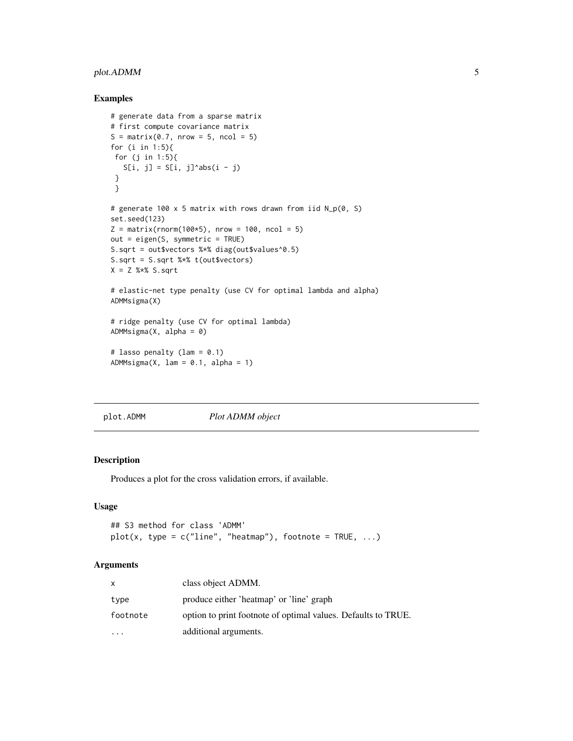#### <span id="page-4-0"></span>plot.ADMM 5

#### Examples

```
# generate data from a sparse matrix
# first compute covariance matrix
S = matrix(0.7, nrow = 5, ncol = 5)for (i in 1:5){
for (j in 1:5){
  S[i, j] = S[i, j]^\wedge abs(i - j)}
 }
# generate 100 x 5 matrix with rows drawn from iid N_p(0, S)
set.seed(123)
Z = matrix(rnorm(100*5), nrow = 100, ncol = 5)out = eigen(S, symmetric = TRUE)
S.sqrt = out$vectors %*% diag(out$values^0.5)
S.sqrt = S.sqrt %*% t(out$vectors)
X = Z %*% S.sqrt
# elastic-net type penalty (use CV for optimal lambda and alpha)
ADMMsigma(X)
# ridge penalty (use CV for optimal lambda)
ADMMsigma(X, alpha = 0)
# lasso penalty (lam = 0.1)
ADMMsigma(X, lam = 0.1, alpha = 1)
```
<span id="page-4-1"></span>plot.ADMM *Plot ADMM object*

#### Description

Produces a plot for the cross validation errors, if available.

#### Usage

```
## S3 method for class 'ADMM'
plot(x, type = c("line", "heatmap"), footnote = TRUE, ...)
```

| $\mathsf{x}$ | class object ADMM.                                            |
|--------------|---------------------------------------------------------------|
| type         | produce either 'heatmap' or 'line' graph                      |
| footnote     | option to print footnote of optimal values. Defaults to TRUE. |
| $\ddotsc$    | additional arguments.                                         |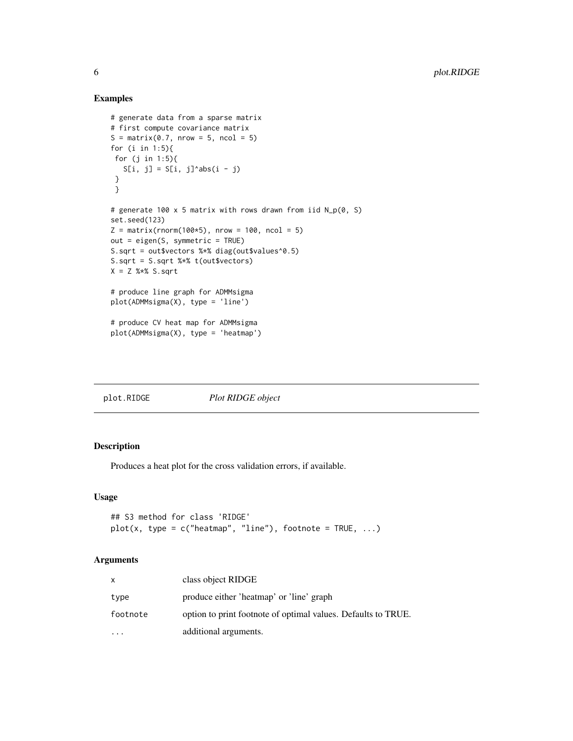#### Examples

```
# generate data from a sparse matrix
# first compute covariance matrix
S = matrix(0.7, nrow = 5, ncol = 5)for (i in 1:5){
for (j in 1:5){
  S[i, j] = S[i, j]^abs(i - j)
 }
 }
# generate 100 x 5 matrix with rows drawn from iid N_p(0, S)
set.seed(123)
Z = matrix(rnorm(100*5), nrow = 100, ncol = 5)out = eigen(S, symmetric = TRUE)
S.sqrt = out$vectors %*% diag(out$values^0.5)
S.sqrt = S.sqrt %*% t(out$vectors)
X = Z %*% S.sqrt
# produce line graph for ADMMsigma
plot(ADMMsigma(X), type = 'line')
# produce CV heat map for ADMMsigma
plot(ADMMsigma(X), type = 'heatmap')
```
<span id="page-5-1"></span>plot.RIDGE *Plot RIDGE object*

#### Description

Produces a heat plot for the cross validation errors, if available.

#### Usage

```
## S3 method for class 'RIDGE'
plot(x, type = c("heatmap", "line"), footnote = TRUE, ...)
```

| X        | class object RIDGE                                            |
|----------|---------------------------------------------------------------|
| type     | produce either 'heatmap' or 'line' graph                      |
| footnote | option to print footnote of optimal values. Defaults to TRUE. |
|          | additional arguments.                                         |

<span id="page-5-0"></span>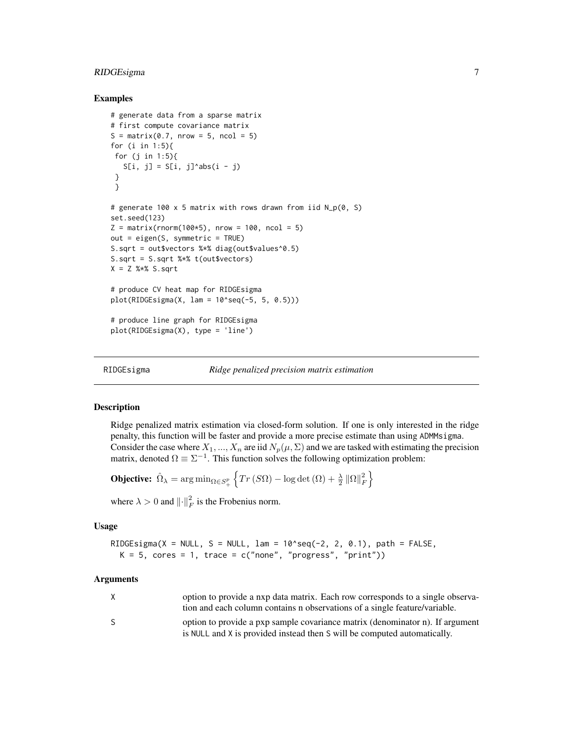#### <span id="page-6-0"></span>RIDGEsigma 7

#### Examples

```
# generate data from a sparse matrix
# first compute covariance matrix
S = matrix(0.7, nrow = 5, ncol = 5)for (i in 1:5){
 for (j in 1:5){
   S[i, j] = S[i, j]^\wedge abs(i - j)}
 }
# generate 100 x 5 matrix with rows drawn from iid N_p(0, S)
set.seed(123)
Z = matrix(rnorm(100*5), nrow = 100, ncol = 5)out = eigen(S, symmetric = TRUE)
S.sqrt = out$vectors %*% diag(out$values^0.5)
S.sqrt = S.sqrt %*% t(out$vectors)
X = Z %*% S.sqrt
# produce CV heat map for RIDGEsigma
plot(RIDGEsigma(X, lam = 10'seq(-5, 5, 0.5)))# produce line graph for RIDGEsigma
plot(RIDGEsigma(X), type = 'line')
```
<span id="page-6-1"></span>

RIDGEsigma *Ridge penalized precision matrix estimation*

#### **Description**

Ridge penalized matrix estimation via closed-form solution. If one is only interested in the ridge penalty, this function will be faster and provide a more precise estimate than using ADMMsigma. Consider the case where  $X_1, ..., X_n$  are iid  $N_p(\mu, \Sigma)$  and we are tasked with estimating the precision matrix, denoted  $\Omega \equiv \Sigma^{-1}$ . This function solves the following optimization problem:

**Objective:** 
$$
\hat{\Omega}_{\lambda} = \arg \min_{\Omega \in S^p_+} \left\{ Tr(S\Omega) - \log \det(\Omega) + \frac{\lambda}{2} \left\| \Omega \right\|_F^2 \right\}
$$

where  $\lambda > 0$  and  $\lVert \cdot \rVert_F^2$  is the Frobenius norm.

#### Usage

```
RIDGEsigma(X = NULL, S = NULL, lam = 10^seq(-2, 2, 0.1), path = FALSE,
 K = 5, cores = 1, trace = c("none", "progress", "print"))
```

| X  | option to provide a nxp data matrix. Each row corresponds to a single observa- |
|----|--------------------------------------------------------------------------------|
|    | tion and each column contains n observations of a single feature/variable.     |
| S. | option to provide a pxp sample covariance matrix (denominator n). If argument  |
|    | is NULL and X is provided instead then S will be computed automatically.       |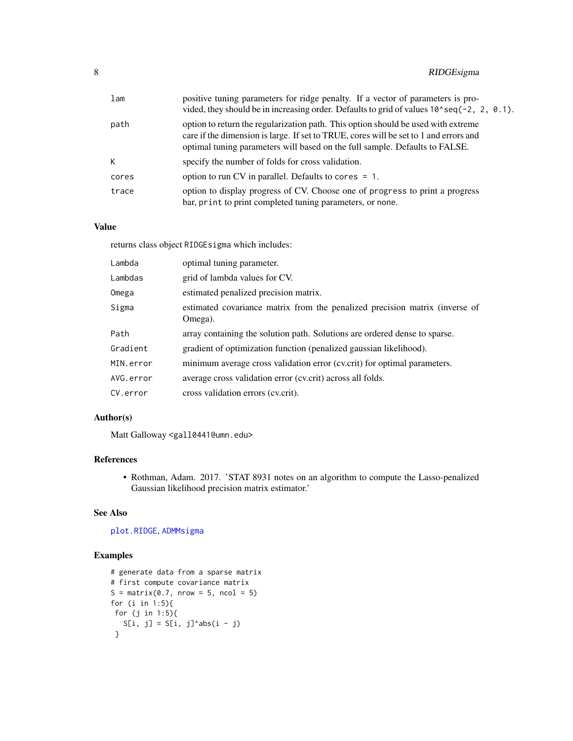<span id="page-7-0"></span>

| lam   | positive tuning parameters for ridge penalty. If a vector of parameters is pro-<br>vided, they should be in increasing order. Defaults to grid of values $10^{\circ}$ seq $(-2, 2, 0.1)$ .                                                                |
|-------|-----------------------------------------------------------------------------------------------------------------------------------------------------------------------------------------------------------------------------------------------------------|
| path  | option to return the regularization path. This option should be used with extreme<br>care if the dimension is large. If set to TRUE, cores will be set to 1 and errors and<br>optimal tuning parameters will based on the full sample. Defaults to FALSE. |
| K     | specify the number of folds for cross validation.                                                                                                                                                                                                         |
| cores | option to run CV in parallel. Defaults to cores $= 1$ .                                                                                                                                                                                                   |
| trace | option to display progress of CV. Choose one of progress to print a progress<br>bar, print to print completed tuning parameters, or none.                                                                                                                 |

#### Value

returns class object RIDGEsigma which includes:

| Lambda    | optimal tuning parameter.                                                              |
|-----------|----------------------------------------------------------------------------------------|
| Lambdas   | grid of lambda values for CV.                                                          |
| Omega     | estimated penalized precision matrix.                                                  |
| Sigma     | estimated covariance matrix from the penalized precision matrix (inverse of<br>Omega). |
| Path      | array containing the solution path. Solutions are ordered dense to sparse.             |
| Gradient  | gradient of optimization function (penalized gaussian likelihood).                     |
| MIN.error | minimum average cross validation error (cv.crit) for optimal parameters.               |
| AVG.error | average cross validation error (cv.crit) across all folds.                             |
| CV.error  | cross validation errors (cv.crit).                                                     |

#### Author(s)

Matt Galloway <gall0441@umn.edu>

#### References

• Rothman, Adam. 2017. 'STAT 8931 notes on an algorithm to compute the Lasso-penalized Gaussian likelihood precision matrix estimator.'

#### See Also

[plot.RIDGE](#page-5-1), [ADMMsigma](#page-1-1)

#### Examples

```
# generate data from a sparse matrix
# first compute covariance matrix
S = matrix(0.7, nrow = 5, ncol = 5)for (i in 1:5){
for (j in 1:5){
  S[i, j] = S[i, j]^{\land}abs(i - j)}
```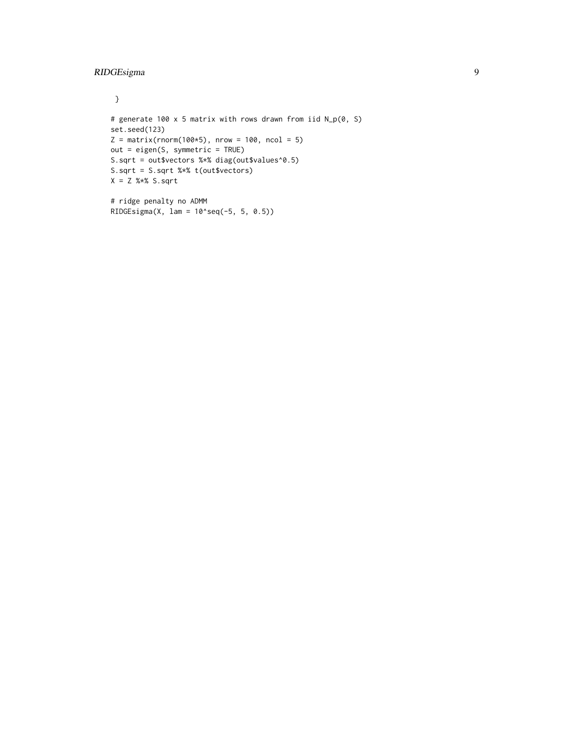}

```
# generate 100 x 5 matrix with rows drawn from iid N_p(0, S)
set.seed(123)
Z = matrix(rnorm(100*5), nrow = 100, ncol = 5)out = eigen(S, symmetric = TRUE)
S.sqrt = out$vectors %*% diag(out$values^0.5)
S.sqrt = S.sqrt %*% t(out$vectors)
X = Z %*% S.sqrt
# ridge penalty no ADMM
RIDGEsigma(X, lam = 10^seq(-5, 5, 0.5))
```